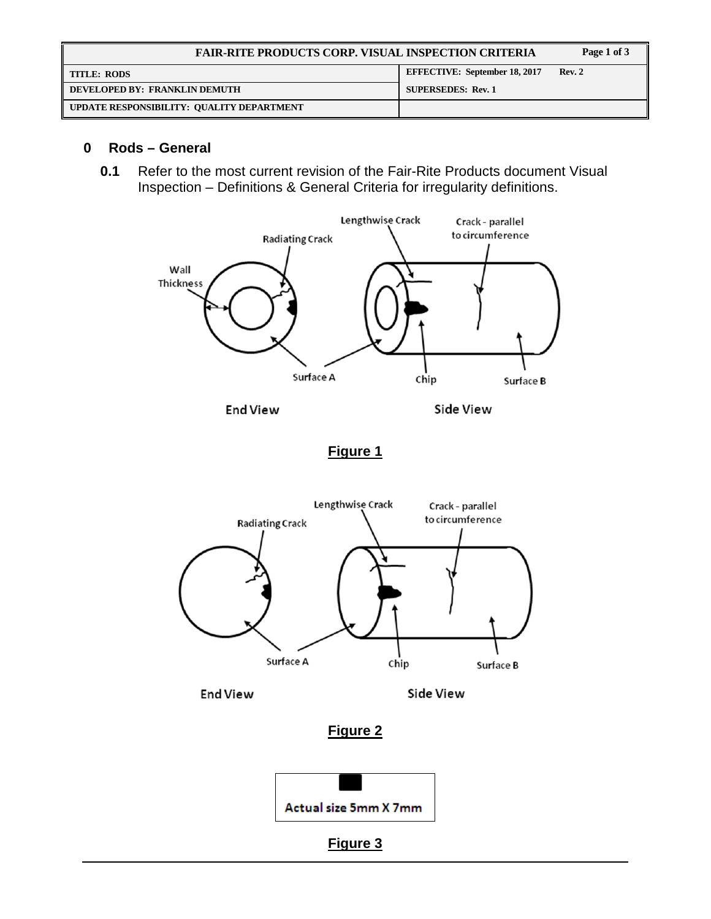| <b>FAIR-RITE PRODUCTS CORP. VISUAL INSPECTION CRITERIA</b> |                                      | Page 1 of 3 |
|------------------------------------------------------------|--------------------------------------|-------------|
| I TITLE: RODS                                              | <b>EFFECTIVE: September 18, 2017</b> | Rev. 2      |
| DEVELOPED BY: FRANKLIN DEMUTH                              | <b>SUPERSEDES: Rev. 1</b>            |             |
| UPDATE RESPONSIBILITY: QUALITY DEPARTMENT                  |                                      |             |

### **0 Rods – General**

**0.1** Refer to the most current revision of the Fair-Rite Products document Visual Inspection – Definitions & General Criteria for irregularity definitions.



**End View** 

Side View

**Figure 1**

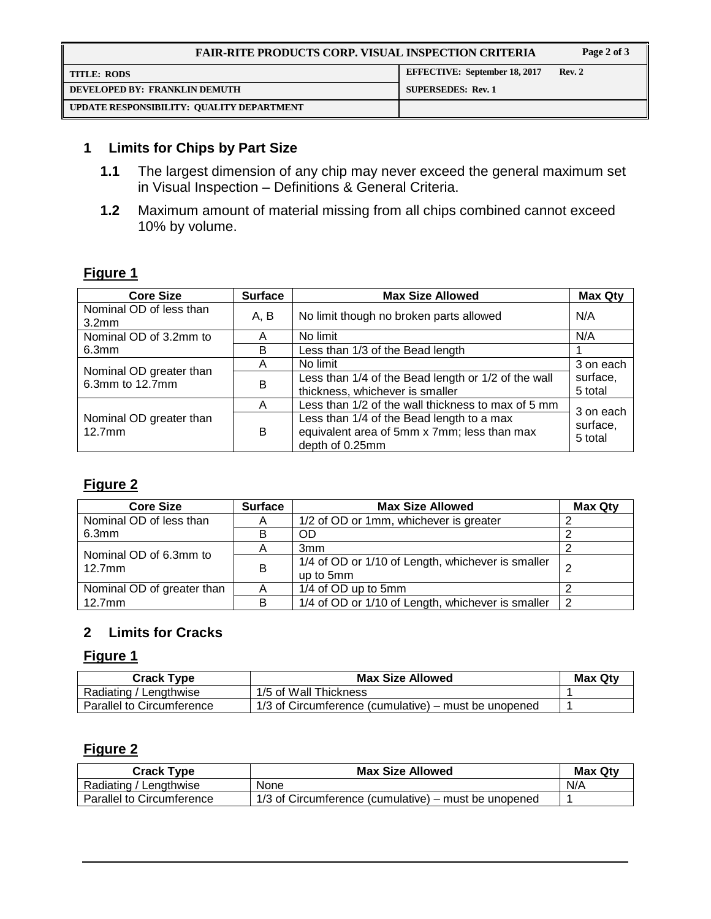| <b>FAIR-RITE PRODUCTS CORP. VISUAL INSPECTION CRITERIA</b> |                                      | Page 2 of 3 |
|------------------------------------------------------------|--------------------------------------|-------------|
| <b>TITLE: RODS</b>                                         | <b>EFFECTIVE: September 18, 2017</b> | Rev. 2      |
| DEVELOPED BY: FRANKLIN DEMUTH                              | <b>SUPERSEDES: Rev. 1</b>            |             |
| UPDATE RESPONSIBILITY: QUALITY DEPARTMENT                  |                                      |             |

### **1 Limits for Chips by Part Size**

- **1.1** The largest dimension of any chip may never exceed the general maximum set in Visual Inspection – Definitions & General Criteria.
- **1.2** Maximum amount of material missing from all chips combined cannot exceed 10% by volume.

## **Figure 1**

| <b>Core Size</b>                             | <b>Surface</b> | <b>Max Size Allowed</b>                                                                                     | <b>Max Qty</b>      |
|----------------------------------------------|----------------|-------------------------------------------------------------------------------------------------------------|---------------------|
| Nominal OD of less than<br>3.2 <sub>mm</sub> | A, B           | No limit though no broken parts allowed                                                                     | N/A                 |
| Nominal OD of 3.2mm to                       | A              | No limit                                                                                                    | N/A                 |
| 6.3 <sub>mm</sub>                            | B              | Less than 1/3 of the Bead length                                                                            |                     |
| Nominal OD greater than                      | A              | No limit                                                                                                    | 3 on each           |
| 6.3mm to 12.7mm                              | B              | Less than 1/4 of the Bead length or 1/2 of the wall<br>thickness, whichever is smaller                      | surface,<br>5 total |
|                                              | A              | Less than 1/2 of the wall thickness to max of 5 mm                                                          | 3 on each           |
| Nominal OD greater than<br>$12.7$ mm         | B              | Less than 1/4 of the Bead length to a max<br>equivalent area of 5mm x 7mm; less than max<br>depth of 0.25mm | surface,<br>5 total |

## **Figure 2**

| <b>Core Size</b>           | <b>Surface</b> | <b>Max Size Allowed</b>                           | <b>Max Qty</b> |
|----------------------------|----------------|---------------------------------------------------|----------------|
| Nominal OD of less than    |                | 1/2 of OD or 1mm, whichever is greater            |                |
| 6.3 <sub>mm</sub>          | В              | <b>OD</b>                                         |                |
| Nominal OD of 6.3mm to     |                | 3 <sub>mm</sub>                                   |                |
| $12.7$ mm                  | B              | 1/4 of OD or 1/10 of Length, whichever is smaller | 2              |
|                            |                | up to 5mm                                         |                |
| Nominal OD of greater than |                | 1/4 of OD up to 5mm                               |                |
| $12.7$ mm                  | B              | 1/4 of OD or 1/10 of Length, whichever is smaller | 2              |

## **2 Limits for Cracks**

## **Figure 1**

| Crack Type                       | <b>Max Size Allowed</b>                              | <b>Max Qtv</b> |
|----------------------------------|------------------------------------------------------|----------------|
| Radiating / Lengthwise           | 1/5 of Wall Thickness                                |                |
| <b>Parallel to Circumference</b> | 1/3 of Circumference (cumulative) – must be unopened |                |

# **Figure 2**

| Crack Type                       | <b>Max Size Allowed</b>                              | <b>Max Qty</b> |
|----------------------------------|------------------------------------------------------|----------------|
| Radiating / Lengthwise           | None                                                 | N/A            |
| <b>Parallel to Circumference</b> | 1/3 of Circumference (cumulative) – must be unopened |                |